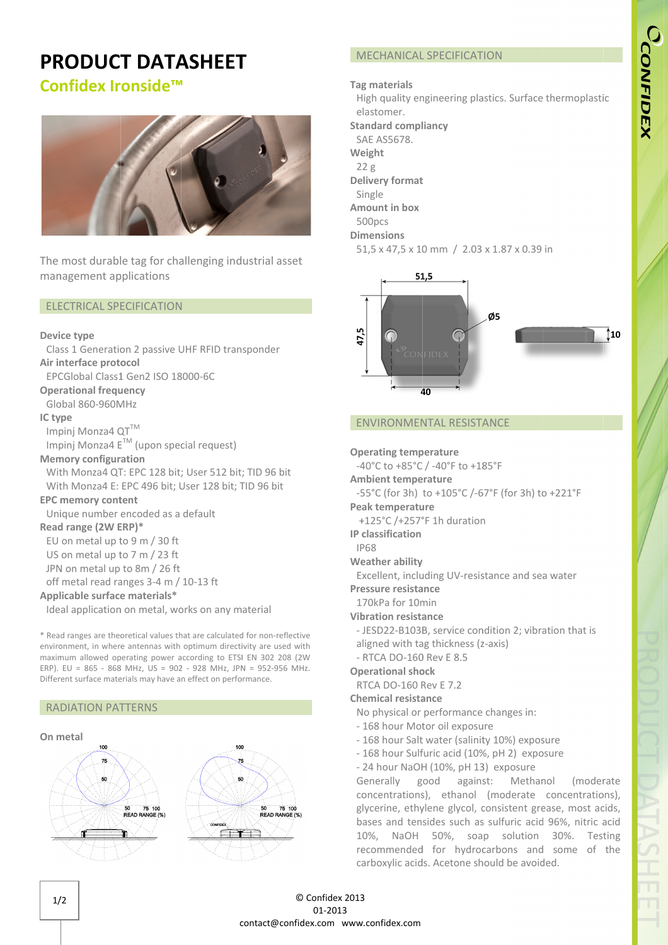# CCONFIDEX

## PRODUCT DATASHEET

## Confidex Ironside™



The most durable tag for challenging industrial asset management applications

#### ELECTRICAL SPECIFICATION

#### Device type type

Class 1 Generation 2 passive UHF RFID transponder Air interface protocol

EPCGlobal Class1 Gen2 ISO 18000 18000-6C

Operational frequency

Global 860-960MHz

#### IC type

Impinj Monza4 QT™

Impinj Monza4  $E^{TM}$  (upon special request)

### Memory configuration

With Monza4 QT: EPC 128 bit; User 512 bit; TID 96 bit With Monza4 E: EPC 496 bit; User 128 bit; TID 96 96 bit 28 bit; User 51<br>5 bit; User 128<br>d as a default<br>30 ft<br>23 ft<br>26 ft<br>4 m / 10-13 ft

#### EPC memory content

Unique number encoded as a default

Read range (2W ERP)\*

EU on metal up to 9 m / 30 ft

US on metal up to 7 m / 23 ft

JPN on metal up to 8m / 26 ft

off metal read ranges 3-4 m / 10

#### Applicable surface materials\*

Ideal application on metal, works on any material

\* Read ranges are theoretical values that are calculated for non-reflective environment, in where antennas with optimum directivity are used with maximum allowed operating power according to ETSI EN 302 208 (2W ERP). EU = 865 - 868 MHz, US = 902 - 928 MHz, JPN = 952-956 MHz. Different surface materials may have an effect on performance.

#### RADIATION PATTERNS



#### Tag materials

High quality engineering plastics. Surface thermoplastic<br>elastomer.<br>**tandard compliancy**<br>SAE AS5678.<br>**Veight**<br>22 g elastomer.

Standard compliancy

SAE AS5678.

Weight

 $22g$ 

Delivery format

Single

Amount in box Single<br>mount<br>500pcs

### 500<sub>pcs</sub>

Dimensions

51,5 x 47,5 x 10 mm / 2.03 x 1.87 x 0.39 in



#### ENVIRONMENTAL RESISTANCE

Operating temperature

-40°C to +85°C / -40°F to +185°F

Ambient temperature

-40°C to +85°C / -40°F to +185°F<br>**mbient temperature**<br>-55°C (for 3h) to +105°C /-67°F (for 3h) to +221°F

+125°C /+257°F 1h duration

IP classification

IP68 IP68

Weather ability

Excellent, including UV-resistance and sea water

Pressure resistance

170kPa for 10min

Vibration resistance

Excellent, including UV-resistance and sea water<br> **ressure resistance**<br>
170kPa for 10min<br> **ibration resistance**<br>
- JESD22-B103B, service condition 2; vibration that is<br>
aligned with tag thickness (z-axis) B103B,<br>
ith tag<br>
D-160 R<br> **al shock**<br>
-160 Re

aligned with tag thickness (z<br>- RTCA DO-160 Rev E 8.5 - RTCA DO-160 Rev E 8.5

#### Operational shock

RTCA DO RTCA DO-160 Rev E 7.2

#### Chemical resistance

No physical or performance changes in:

- 168 hour Motor oil exposure
- 168 hour Salt water (salinity 10%) exposure
- 168 hour Sulfuric acid (10%, pH 2) 2) exposure
- 24 hour NaOH (10%, pH 13) exposure

Generally good against: Methanol (moderate concentrations), ethanol (moderate concentrations), glycerine, ethylene glycol, consistent grease, most acids, bases and tensides such as sulfuric acid 96%, nitric acid 10%, NaOH 50%, soap solution 30%. Testing recommended for hydrocarbons and some of the carboxylic acids acids. Acetone should be avoided.

# Peak temperature